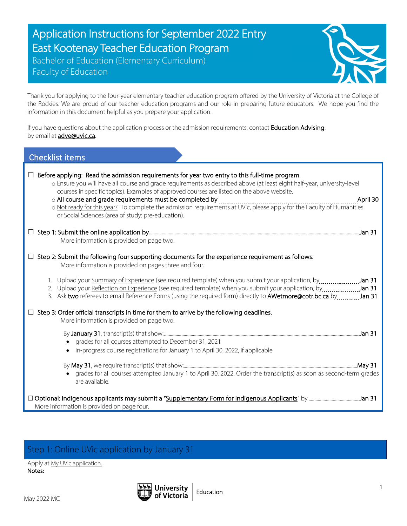# Application Instructions for September 2022 Entry East Kootenay Teacher Education Program

Bachelor of Education (Elementary Curriculum) Faculty of Education



Thank you for applying to the four-year elementary teacher education program offered by the University of Victoria at the College of the Rockies. We are proud of our teacher education programs and our role in preparing future educators. We hope you find the information in this document helpful as you prepare your application.

If you have questions about the application process or the admission requirements, contact Education Advising: by email at **adve@uvic.ca.** 

| <b>Checklist items</b>                                                                                                                                                                                                                                                                                                                                                                                                                                                                                             |
|--------------------------------------------------------------------------------------------------------------------------------------------------------------------------------------------------------------------------------------------------------------------------------------------------------------------------------------------------------------------------------------------------------------------------------------------------------------------------------------------------------------------|
| Before applying: Read the admission requirements for year two entry to this full-time program.<br>o Ensure you will have all course and grade requirements as described above (at least eight half-year, university-level<br>courses in specific topics). Examples of approved courses are listed on the above website.<br>April 30<br>o Not ready for this year? To complete the admission requirements at UVic, please apply for the Faculty of Humanities<br>or Social Sciences (area of study: pre-education). |
| More information is provided on page two.                                                                                                                                                                                                                                                                                                                                                                                                                                                                          |
| Step 2: Submit the following four supporting documents for the experience requirement as follows.<br>More information is provided on pages three and four.                                                                                                                                                                                                                                                                                                                                                         |
| 2. Upload your Reflection on Experience (see required template) when you submit your application, by Jan 31<br>3. Ask two referees to email Reference Forms (using the required form) directly to <b>AWetmore@cotr.bc.ca</b> by ________ Jan 31                                                                                                                                                                                                                                                                    |
| Step 3: Order official transcripts in time for them to arrive by the following deadlines.<br>More information is provided on page two.<br>grades for all courses attempted to December 31, 2021<br>in-progress course registrations for January 1 to April 30, 2022, if applicable                                                                                                                                                                                                                                 |
| grades for all courses attempted January 1 to April 30, 2022. Order the transcript(s) as soon as second-term grades<br>are available.                                                                                                                                                                                                                                                                                                                                                                              |
| More information is provided on page four.                                                                                                                                                                                                                                                                                                                                                                                                                                                                         |

# Step 1: Online UVic application by January 31

Apply at My UVic application. Notes:

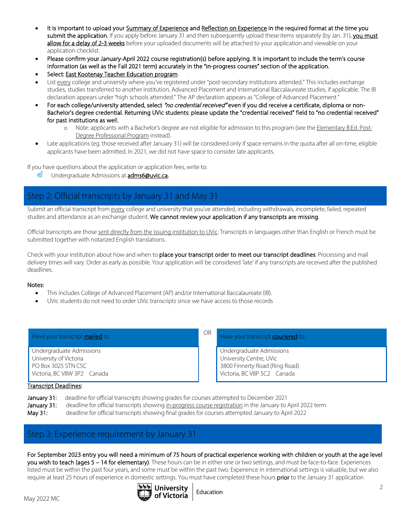- It is important to upload your Summary of Experience and Reflection on Experience in the required format at the time you submit the application. If you apply before January 31 and then subsequently upload these items separately (by Jan. 31), you must allow for a delay of 2-3 weeks before your uploaded documents will be attached to your application and viewable on your application checklist.
- Please confirm your January-April 2022 course registration(s) before applying. It is important to include the term's course information (as well as the Fall 2021 term) accurately in the "in-progress courses" section of the application.
- Select: East Kootenay Teacher Education program.
- List every college and university where you've registered under "post-secondary institutions attended." This includes exchange studies, studies transferred to another institution, Advanced Placement and International Baccalaureate studies, if applicable. The IB declaration appears under "high schools attended." The AP declaration appears as "College of Advanced Placement."
- For each college/university attended, select "no credential received" even if you did receive a certificate, diploma or non-Bachelor's degree credential. Returning UVic students: please update the "credential received" field to "no credential received" for past institutions as well.
	- o Note: applicants with a Bachelor's degree are not eligible for admission to this program (see the Elementary B.Ed. Post-Degree Professional Program instead).
- Late applications (eg. those received after January 31) will be considered only if space remains in the quota after all on-time, eligible applicants have been admitted. In 2021, we did not have space to consider late applicants.

If you have questions about the application or application fees, write to:

鏫 Undergraduate Admissions at adms6@uvic.ca**.**

## Step 2: Official transcripts by January 31 and May 31

Submit an official transcript from every college and university that you've attended, including withdrawals, incomplete, failed, repeated studies and attendance as an exchange student. We cannot review your application if any transcripts are missing.

Official transcripts are those sent directly from the issuing institution to UVic. Transcripts in languages other than English or French must be submitted together with notarized English translations.

Check with your institution about how and when to place your transcript order to meet our transcript deadlines. Processing and mail delivery times will vary. Order as early as possible. Your application will be considered 'late' if any transcripts are received after the published deadlines.

#### Notes:

- This includes College of Advanced Placement (AP) and/or International Baccalaureate (IB).
- UVic students do not need to order UVic transcripts since we have access to those records

| Have your transcript mailed to:                                                                          | <b>OR</b> | Have your transcript <b>couriered</b> to:                                                                            |
|----------------------------------------------------------------------------------------------------------|-----------|----------------------------------------------------------------------------------------------------------------------|
| Undergraduate Admissions<br>University of Victoria<br>PO Box 3025 STN CSC<br>Victoria, BC V8W 3P2 Canada |           | Undergraduate Admissions<br>University Centre, UVic<br>3800 Finnerty Road (Ring Road)<br>Victoria, BC V8P 5C2 Canada |
| <b>Transcript Deadlines:</b>                                                                             |           |                                                                                                                      |

January 31: deadline for official transcripts showing grades for courses attempted to December 2021 January 31: deadline for official transcripts showing in-progress course registration in the January to April 2022 term May 31: deadline for official transcripts showing final grades for courses attempted January to April 2022

### Step 3: Experience requirement by January 31

For September 2023 entry you will need a minimum of 75 hours of practical experience working with children or youth at the age level you wish to teach (ages 5 – 14 for elementary). These hours can be in either one or two settings, and must be face-to-face. Experiences listed must be within the past four years, and some must be within the past two. Experience in international settings is valuable, but we also require at least 25 hours of experience in domestic settings. You must have completed these hours prior to the January 31 application

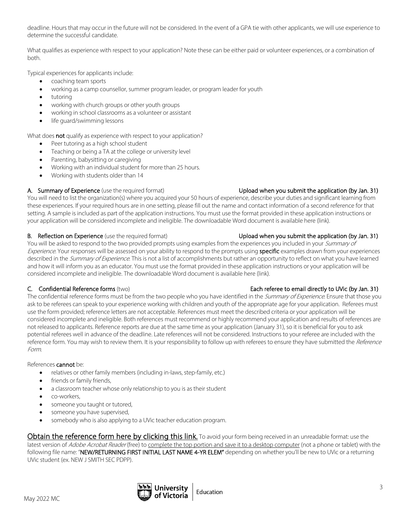deadline. Hours that may occur in the future will not be considered. In the event of a GPA tie with other applicants, we will use experience to determine the successful candidate.

What qualifies as experience with respect to your application? Note these can be either paid or volunteer experiences, or a combination of both.

Typical experiences for applicants include:

- coaching team sports
- working as a camp counsellor, summer program leader, or program leader for youth
- tutoring
- working with church groups or other youth groups
- working in school classrooms as a volunteer or assistant
- life guard/swimming lessons

What does **not** qualify as experience with respect to your application?

- Peer tutoring as a high school student
- Teaching or being a TA at the college or university level
- Parenting, babysitting or caregiving
- Working with an individual student for more than 25 hours.
- Working with students older than 14

#### A. Summary of Experience (use the required format) Upload when you submit the application (by Jan. 31)

You will need to list the organization(s) where you acquired your 50 hours of experience, describe your duties and significant learning from these experiences. If your required hours are in one setting, please fill out the name and contact information of a second reference for that setting. A sample is included as part of the application instructions. You must use the format provided in these application instructions or your application will be considered incomplete and ineligible. The downloadable Word document is available here (link).

#### B. Reflection on Experience (use the required format) Upload when you submit the application (by Jan. 31)

You will be asked to respond to the two provided prompts using examples from the experiences you included in your *Summary of* Experience. Your responses will be assessed on your ability to respond to the prompts using specific examples drawn from your experiences described in the Summary of Experience. This is not a list of accomplishments but rather an opportunity to reflect on what you have learned and how it will inform you as an educator. You must use the format provided in these application instructions or your application will be considered incomplete and ineligible. The downloadable Word document is available here (link).

## C. Confidential Reference forms (two) example and the example of the Each referee to email directly to UVic (by Jan. 31)

The confidential reference forms must be from the two people who you have identified in the Summary of Experience. Ensure that those you ask to be referees can speak to your experience working with children and youth of the appropriate age for your application. Referees must use the form provided; reference letters are not acceptable. References must meet the described criteria or your application will be considered incomplete and ineligible. Both references must recommend or highly recommend your application and results of references are not released to applicants. Reference reports are due at the same time as your application (January 31), so it is beneficial for you to ask potential referees well in advance of the deadline. Late references will not be considered. Instructions to your referee are included with the reference form. You may wish to review them. It is your responsibility to follow up with referees to ensure they have submitted the Reference Form.

#### References cannot be:

- relatives or other family members (including in-laws, step-family, etc.)
- friends or family friends,
- a classroom teacher whose only relationship to you is as their student
- co-workers,
- someone you taught or tutored,
- someone you have supervised,
- somebody who is also applying to a UVic teacher education program.

Obtain the reference form here by clicking this link. To avoid your form being received in an unreadable format: use the latest version of Adobe Acrobat Reader (free) to complete the top portion and save it to a desktop computer (not a phone or tablet) with the following file name: "NEW/RETURNING FIRST INITIAL LAST NAME 4-YR ELEM" depending on whether you'll be new to UVic or a returning UVic student (ex. NEW J SMITH SEC PDPP).

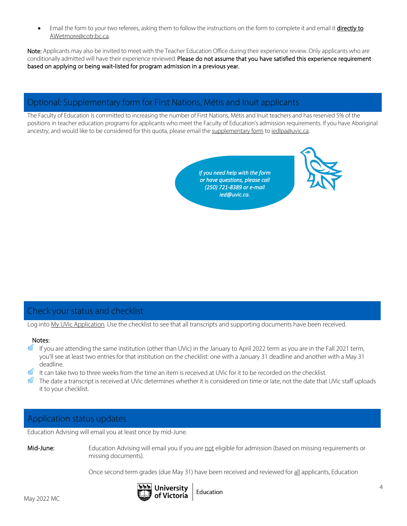Email the form to your two referees, asking them to follow the instructions on the form to complete it and email it directly to AWetmore@cotr.bc.ca.

Note: Applicants may also be invited to meet with the Teacher Education Office during their experience review. Only applicants who are conditionally admitted will have their experience reviewed. Please do not assume that you have satisfied this experience requirement based on applying or being wait-listed for program admission in a previous year.

## Optional: Supplementary form for First Nations, Métis and Inuit applicants

The Faculty of Education is committed to increasing the number of First Nations, Métis and Inuit teachers and has reserved 5% of the positions in teacher education programs for applicants who meet the Faculty of Education's admission requirements. If you have Aboriginal ancestry, and would like to be considered for this quota, please email the supplementary form to iedlpa@uvic.ca.

> *If you need help with the form or have questions, please call (250) 721-8389 or e-mail ied@uvic.ca.*



### Check your status and checklist

Log into My UVic Application. Use the checklist to see that all transcripts and supporting documents have been received.

#### Notes:

- 数 If you are attending the same institution (other than UVic) in the January to April 2022 term as you are in the Fall 2021 term, you'll see at least two entries for that institution on the checklist: one with a January 31 deadline and another with a May 31 deadline.
- It can take two to three weeks from the time an item is received at UVic for it to be recorded on the checklist.
- $\frac{20}{100}$  The date a transcript is received at UVic determines whether it is considered on time or late, not the date that UVic staff uploads it to your checklist.

## Application status updates

Education Advising will email you at least once by mid-June.

Mid-June: Education Advising will email you if you are not eligible for admission (based on missing requirements or missing documents).

Once second term grades (due May 31) have been received and reviewed for all applicants, Education





Education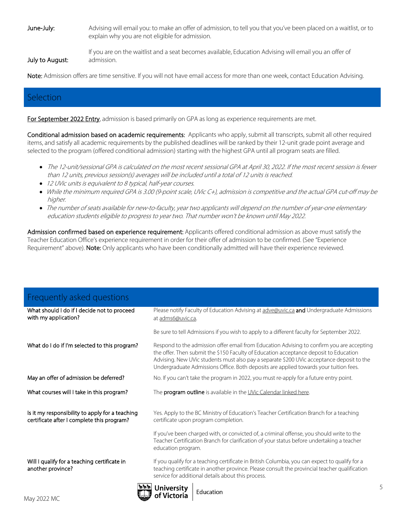June-July: Advising will email you: to make an offer of admission, to tell you that you've been placed on a waitlist, or to explain why you are not eligible for admission.

July to August:

If you are on the waitlist and a seat becomes available, Education Advising will email you an offer of admission.

Note: Admission offers are time sensitive. If you will not have email access for more than one week, contact Education Advising.

## Selection

For September 2022 Entry, admission is based primarily on GPA as long as experience requirements are met.

Conditional admission based on academic requirements: Applicants who apply, submit all transcripts, submit all other required items, and satisfy all academic requirements by the published deadlines will be ranked by their 12-unit grade point average and selected to the program (offered conditional admission) starting with the highest GPA until all program seats are filled.

- The 12-unit/sessional GPA is calculated on the most recent sessional GPA at April 30, 2022. If the most recent session is fewer than 12 units, previous session(s) averages will be included until a total of 12 units is reached.
- 12 UVic units is equivalent to 8 typical, half-year courses.
- While the minimum required GPA is 3.00 (9-point scale, UVic C+), admission is competitive and the actual GPA cut-off may be higher.
- The number of seats available for new-to-faculty, year two applicants will depend on the number of year-one elementary education students eligible to progress to year two. That number won't be known until May 2022.

Admission confirmed based on experience requirement: Applicants offered conditional admission as above must satisfy the Teacher Education Office's experience requirement in order for their offer of admission to be confirmed. (See "Experience Requirement" above). Note: Only applicants who have been conditionally admitted will have their experience reviewed.

| Frequently asked questions                                                                    |                                                                                                                                                                                                                                                                                                                                                                          |
|-----------------------------------------------------------------------------------------------|--------------------------------------------------------------------------------------------------------------------------------------------------------------------------------------------------------------------------------------------------------------------------------------------------------------------------------------------------------------------------|
| What should I do if I decide not to proceed<br>with my application?                           | Please notify Faculty of Education Advising at adve@uvic.ca and Undergraduate Admissions<br>at adms6@uvic.ca.                                                                                                                                                                                                                                                            |
|                                                                                               | Be sure to tell Admissions if you wish to apply to a different faculty for September 2022.                                                                                                                                                                                                                                                                               |
| What do I do if I'm selected to this program?                                                 | Respond to the admission offer email from Education Advising to confirm you are accepting<br>the offer. Then submit the \$150 Faculty of Education acceptance deposit to Education<br>Advising. New UVic students must also pay a separate \$200 UVic acceptance deposit to the<br>Undergraduate Admissions Office. Both deposits are applied towards your tuition fees. |
| May an offer of admission be deferred?                                                        | No. If you can't take the program in 2022, you must re-apply for a future entry point.                                                                                                                                                                                                                                                                                   |
| What courses will I take in this program?                                                     | The <b>program outline</b> is available in the UVic Calendar linked here.                                                                                                                                                                                                                                                                                                |
| Is it my responsibility to apply for a teaching<br>certificate after I complete this program? | Yes. Apply to the BC Ministry of Education's Teacher Certification Branch for a teaching<br>certificate upon program completion.                                                                                                                                                                                                                                         |
|                                                                                               | If you've been charged with, or convicted of, a criminal offense, you should write to the<br>Teacher Certification Branch for clarification of your status before undertaking a teacher<br>education program.                                                                                                                                                            |
| Will I qualify for a teaching certificate in<br>another province?                             | If you qualify for a teaching certificate in British Columbia, you can expect to qualify for a<br>teaching certificate in another province. Please consult the provincial teacher qualification<br>service for additional details about this process.                                                                                                                    |
|                                                                                               |                                                                                                                                                                                                                                                                                                                                                                          |

Education

of Victoria

5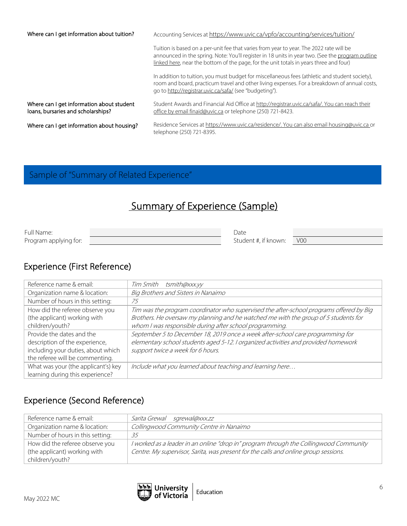| Where can I get information about tuition?                                      | Accounting Services at https://www.uvic.ca/vpfo/accounting/services/tuition/                                                                                                                                                                                                          |
|---------------------------------------------------------------------------------|---------------------------------------------------------------------------------------------------------------------------------------------------------------------------------------------------------------------------------------------------------------------------------------|
|                                                                                 | Tuition is based on a per-unit fee that varies from year to year. The 2022 rate will be<br>announced in the spring. Note: You'll register in 18 units in year two. (See the program outline<br>linked here, near the bottom of the page, for the unit totals in years three and four) |
|                                                                                 | In addition to tuition, you must budget for miscellaneous fees (athletic and student society),<br>room and board, practicum travel and other living expenses. For a breakdown of annual costs,<br>go to http://registrar.uvic.ca/safa/ (see "budgeting").                             |
| Where can I get information about student<br>loans, bursaries and scholarships? | Student Awards and Financial Aid Office at http://registrar.uvic.ca/safa/. You can reach their<br>office by email finaid@uvic.ca or telephone (250) 721-8423.                                                                                                                         |
| Where can I get information about housing?                                      | Residence Services at https://www.uvic.ca/residence/. You can also email housing@uvic.ca or<br>telephone (250) 721-8395.                                                                                                                                                              |

# Sample of "Summary of Related Experience"

# Summary of Experience (Sample)

| Full Name:            | Date                 |            |
|-----------------------|----------------------|------------|
| Program applying for: | Student #, if known: | <b>V00</b> |

# Experience (First Reference)

| Reference name & email:             | Tim Smith tsmith@xxx.yy                                                                 |
|-------------------------------------|-----------------------------------------------------------------------------------------|
| Organization name & location:       | Big Brothers and Sisters in Nanaimo                                                     |
| Number of hours in this setting:    | 75                                                                                      |
| How did the referee observe you     | Tim was the program coordinator who supervised the after-school programs offered by Big |
| (the applicant) working with        | Brothers. He oversaw my planning and he watched me with the group of 5 students for     |
| children/youth?                     | whom I was responsible during after school programming.                                 |
| Provide the dates and the           | September 5 to December 18, 2019 once a week after-school care programming for          |
| description of the experience,      | elementary school students aged 5-12. I organized activities and provided homework      |
| including your duties, about which  | support twice a week for 6 hours.                                                       |
| the referee will be commenting.     |                                                                                         |
| What was your (the applicant's) key | Include what you learned about teaching and learning here                               |
| learning during this experience?    |                                                                                         |

# Experience (Second Reference)

| Reference name & email:          | <i>Sarita Grewal</i><br>sgrewal@xxx.zz                                                |
|----------------------------------|---------------------------------------------------------------------------------------|
| Organization name & location:    | Collingwood Community Centre in Nanaimo                                               |
| Number of hours in this setting: | 35                                                                                    |
| How did the referee observe you  | I worked as a leader in an online "drop in" program through the Collingwood Community |
| (the applicant) working with     | Centre. My supervisor, Sarita, was present for the calls and online group sessions.   |
| children/youth?                  |                                                                                       |

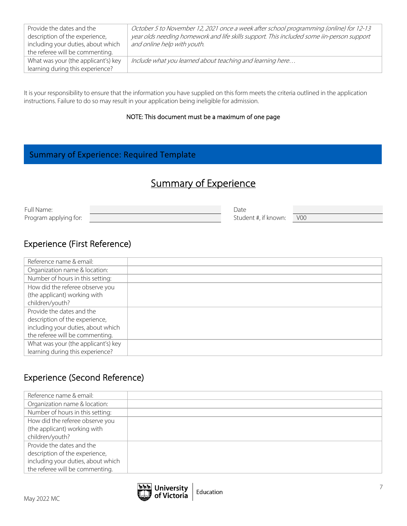| Provide the dates and the<br>description of the experience,<br>including your duties, about which<br>the referee will be commenting. | October 5 to November 12, 2021 once a week after school programming (online) for 12-13<br>year olds needing homework and life skills support. This included some iin-person support<br>and online help with youth. |
|--------------------------------------------------------------------------------------------------------------------------------------|--------------------------------------------------------------------------------------------------------------------------------------------------------------------------------------------------------------------|
| What was your (the applicant's) key<br>learning during this experience?                                                              | Include what you learned about teaching and learning here                                                                                                                                                          |

It is your responsibility to ensure that the information you have supplied on this form meets the criteria outlined in the application instructions. Failure to do so may result in your application being ineligible for admission.

#### NOTE: This document must be a maximum of one page

## Summary of Experience: Required Template

# Summary of Experience

| Full Name:            | Date                 |                |
|-----------------------|----------------------|----------------|
| Program applying for: | Student #, if known: | V <sub>0</sub> |

## Experience (First Reference)

| Reference name & email:             |  |
|-------------------------------------|--|
| Organization name & location:       |  |
| Number of hours in this setting:    |  |
| How did the referee observe you     |  |
| (the applicant) working with        |  |
| children/youth?                     |  |
| Provide the dates and the           |  |
| description of the experience,      |  |
| including your duties, about which  |  |
| the referee will be commenting.     |  |
| What was your (the applicant's) key |  |
| learning during this experience?    |  |

## Experience (Second Reference)

| Reference name & email:            |  |
|------------------------------------|--|
| Organization name & location:      |  |
| Number of hours in this setting:   |  |
| How did the referee observe you    |  |
| (the applicant) working with       |  |
| children/youth?                    |  |
| Provide the dates and the          |  |
| description of the experience,     |  |
| including your duties, about which |  |
| the referee will be commenting.    |  |

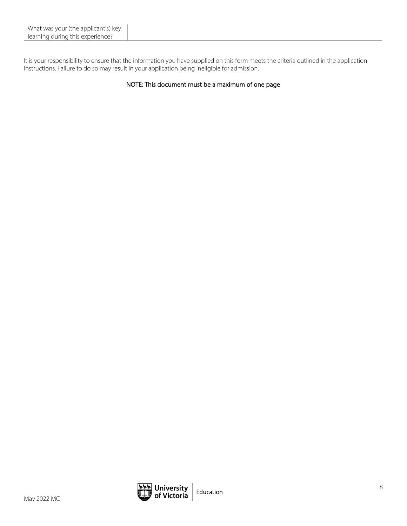| What was your (the applicant's) key |  |  |
|-------------------------------------|--|--|
| l learning during this experience?  |  |  |

It is your responsibility to ensure that the information you have supplied on this form meets the criteria outlined in the application instructions. Failure to do so may result in your application being ineligible for admission.

#### NOTE: This document must be a maximum of one page